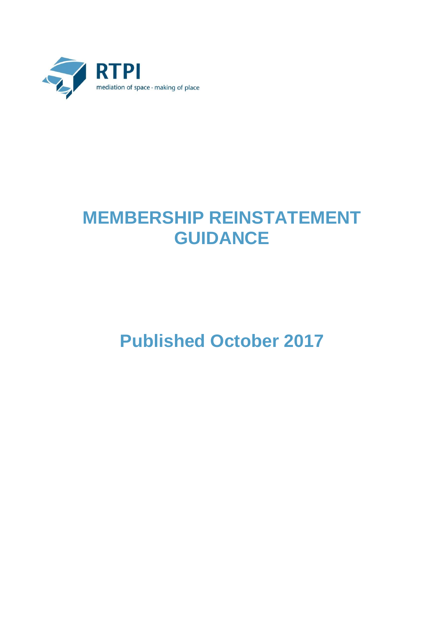

## **MEMBERSHIP REINSTATEMENT GUIDANCE**

## **Published October 2017**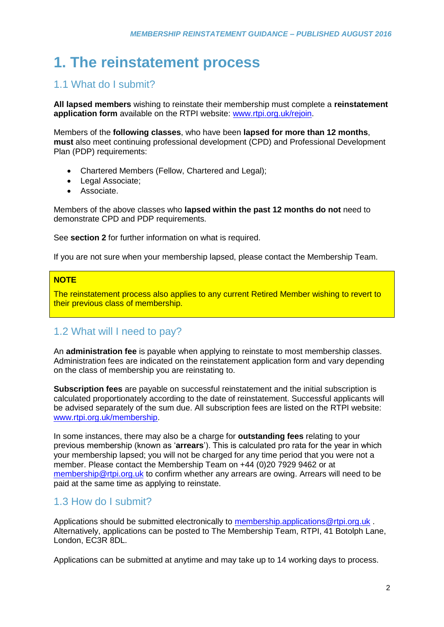## **1. The reinstatement process**

#### 1.1 What do I submit?

**All lapsed members** wishing to reinstate their membership must complete a **reinstatement application form** available on the RTPI website: [www.rtpi.org.uk/rejoin.](http://www.rtpi.org.uk/rejoin)

Members of the **following classes**, who have been **lapsed for more than 12 months**, **must** also meet continuing professional development (CPD) and Professional Development Plan (PDP) requirements:

- Chartered Members (Fellow, Chartered and Legal);
- Legal Associate;
- Associate.

Members of the above classes who **lapsed within the past 12 months do not** need to demonstrate CPD and PDP requirements.

See **section 2** for further information on what is required.

If you are not sure when your membership lapsed, please contact the Membership Team.

#### **NOTE**

The reinstatement process also applies to any current Retired Member wishing to revert to their previous class of membership.

#### 1.2 What will I need to pay?

An **administration fee** is payable when applying to reinstate to most membership classes. Administration fees are indicated on the reinstatement application form and vary depending on the class of membership you are reinstating to.

**Subscription fees** are payable on successful reinstatement and the initial subscription is calculated proportionately according to the date of reinstatement. Successful applicants will be advised separately of the sum due. All subscription fees are listed on the RTPI website: [www.rtpi.org.uk/membership.](http://www.rtpi.org.uk/membership)

In some instances, there may also be a charge for **outstanding fees** relating to your previous membership (known as '**arrears**'). This is calculated pro rata for the year in which your membership lapsed; you will not be charged for any time period that you were not a member. Please contact the Membership Team on +44 (0)20 7929 9462 or at [membership@rtpi.org.uk](mailto:membership@rtpi.org.uk) to confirm whether any arrears are owing. Arrears will need to be paid at the same time as applying to reinstate.

#### 1.3 How do I submit?

Applications should be submitted electronically to [membership.applications@rtpi.org.uk](mailto:membership.applications@rtpi.org.uk) Alternatively, applications can be posted to The Membership Team, RTPI, 41 Botolph Lane, London, EC3R 8DL.

Applications can be submitted at anytime and may take up to 14 working days to process.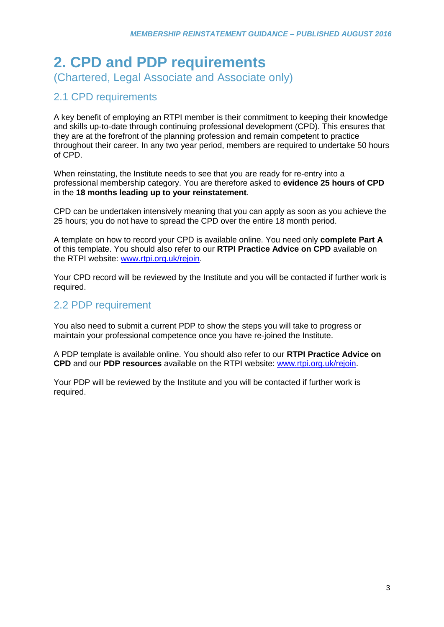# **2. CPD and PDP requirements**

(Chartered, Legal Associate and Associate only)

### 2.1 CPD requirements

A key benefit of employing an RTPI member is their commitment to keeping their knowledge and skills up-to-date through continuing professional development (CPD). This ensures that they are at the forefront of the planning profession and remain competent to practice throughout their career. In any two year period, members are required to undertake 50 hours of CPD.

When reinstating, the Institute needs to see that you are ready for re-entry into a professional membership category. You are therefore asked to **evidence 25 hours of CPD** in the **18 months leading up to your reinstatement**.

CPD can be undertaken intensively meaning that you can apply as soon as you achieve the 25 hours; you do not have to spread the CPD over the entire 18 month period.

A template on how to record your CPD is available online. You need only **complete Part A** of this template. You should also refer to our **RTPI Practice Advice on CPD** available on the RTPI website: [www.rtpi.org.uk/rejoin.](http://www.rtpi.org.uk/rejoin)

Your CPD record will be reviewed by the Institute and you will be contacted if further work is required.

#### 2.2 PDP requirement

You also need to submit a current PDP to show the steps you will take to progress or maintain your professional competence once you have re-joined the Institute.

A PDP template is available online. You should also refer to our **RTPI Practice Advice on CPD** and our **PDP resources** available on the RTPI website: [www.rtpi.org.uk/rejoin.](http://www.rtpi.org.uk/rejoin)

Your PDP will be reviewed by the Institute and you will be contacted if further work is required.